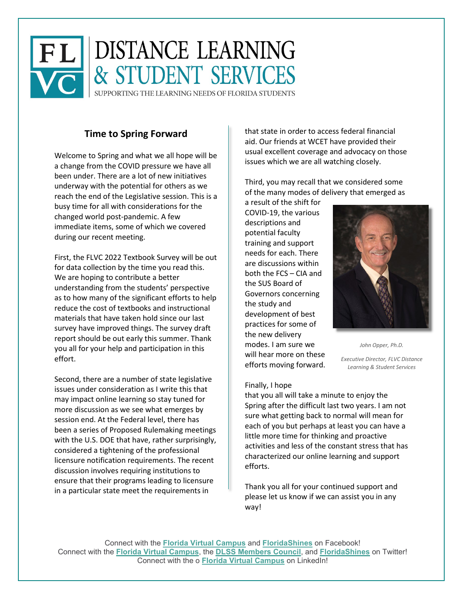

# **Time to Spring Forward**

Welcome to Spring and what we all hope will be a change from the COVID pressure we have all been under. There are a lot of new initiatives underway with the potential for others as we reach the end of the Legislative session. This is a busy time for all with considerations for the changed world post-pandemic. A few immediate items, some of which we covered during our recent meeting.

First, the FLVC 2022 Textbook Survey will be out for data collection by the time you read this. We are hoping to contribute a better understanding from the students' perspective as to how many of the significant efforts to help reduce the cost of textbooks and instructional materials that have taken hold since our last survey have improved things. The survey draft report should be out early this summer. Thank you all for your help and participation in this effort.

Second, there are a number of state legislative issues under consideration as I write this that may impact online learning so stay tuned for more discussion as we see what emerges by session end. At the Federal level, there has been a series of Proposed Rulemaking meetings with the U.S. DOE that have, rather surprisingly, considered a tightening of the professional licensure notification requirements. The recent discussion involves requiring institutions to ensure that their programs leading to licensure in a particular state meet the requirements in

that state in order to access federal financial aid. Our friends at WCET have provided their usual excellent coverage and advocacy on those issues which we are all watching closely.

Third, you may recall that we considered some of the many modes of delivery that emerged as

a result of the shift for COVID-19, the various descriptions and potential faculty training and support needs for each. There are discussions within both the FCS – CIA and the SUS Board of Governors concerning the study and development of best practices for some of the new delivery modes. I am sure we will hear more on these efforts moving forward.

*John Opper, Ph.D.*

*Executive Director, FLVC Distance Learning & Student Services*

#### Finally, I hope

that you all will take a minute to enjoy the Spring after the difficult last two years. I am not sure what getting back to normal will mean for each of you but perhaps at least you can have a little more time for thinking and proactive activities and less of the constant stress that has characterized our online learning and support efforts.

Thank you all for your continued support and please let us know if we can assist you in any way!

Connect with the **[Florida Virtual Campus](https://nam11.safelinks.protection.outlook.com/?url=https%3A%2F%2Fwww.facebook.com%2FFLVirtualCampus%2F&data=04%7C01%7Cathimmes%40flvc.org%7C0f8157b9c4c8469735b608d8bccccfac%7C60ebd441a2f94841802f22bf1380b4ae%7C0%7C0%7C637466935148039887%7CUnknown%7CTWFpbGZsb3d8eyJWIjoiMC4wLjAwMDAiLCJQIjoiV2luMzIiLCJBTiI6Ik1haWwiLCJXVCI6Mn0%3D%7C1000&sdata=YHyi5M0ICTc%2BVegIRQ1v3J3GgdFMoYpvRHAGE0BfH9Y%3D&reserved=0)** and **[FloridaShines](https://nam11.safelinks.protection.outlook.com/?url=https%3A%2F%2Fwww.facebook.com%2FFLShines%2F&data=04%7C01%7Cathimmes%40flvc.org%7C0f8157b9c4c8469735b608d8bccccfac%7C60ebd441a2f94841802f22bf1380b4ae%7C0%7C0%7C637466935148049880%7CUnknown%7CTWFpbGZsb3d8eyJWIjoiMC4wLjAwMDAiLCJQIjoiV2luMzIiLCJBTiI6Ik1haWwiLCJXVCI6Mn0%3D%7C1000&sdata=edjj5WYQVVDxVAzSrXCaUUYlqL88AAzvnPSKSsxhzqQ%3D&reserved=0)** on Facebook! Connect with the **[Florida Virtual Campus](https://nam11.safelinks.protection.outlook.com/?url=https%3A%2F%2Ftwitter.com%2FFLVirtualCampus&data=04%7C01%7Cathimmes%40flvc.org%7C0f8157b9c4c8469735b608d8bccccfac%7C60ebd441a2f94841802f22bf1380b4ae%7C0%7C0%7C637466935148049880%7CUnknown%7CTWFpbGZsb3d8eyJWIjoiMC4wLjAwMDAiLCJQIjoiV2luMzIiLCJBTiI6Ik1haWwiLCJXVCI6Mn0%3D%7C1000&sdata=ZPmv0vT05td9GbLe9KUT8K%2FebD8Ch98VmLIRK7y6IQw%3D&reserved=0)**, the **[DLSS Members Council](https://nam11.safelinks.protection.outlook.com/?url=https%3A%2F%2Ftwitter.com%2FDLSSCouncil&data=04%7C01%7Cathimmes%40flvc.org%7C0f8157b9c4c8469735b608d8bccccfac%7C60ebd441a2f94841802f22bf1380b4ae%7C0%7C0%7C637466935148059876%7CUnknown%7CTWFpbGZsb3d8eyJWIjoiMC4wLjAwMDAiLCJQIjoiV2luMzIiLCJBTiI6Ik1haWwiLCJXVCI6Mn0%3D%7C1000&sdata=uVDe4c1kJiY5akLJNUrP0Avjbjs0sQ%2ByzC62zruOwj4%3D&reserved=0)**, and **[FloridaShines](https://nam11.safelinks.protection.outlook.com/?url=https%3A%2F%2Ftwitter.com%2FFLShines&data=04%7C01%7Cathimmes%40flvc.org%7C0f8157b9c4c8469735b608d8bccccfac%7C60ebd441a2f94841802f22bf1380b4ae%7C0%7C0%7C637466935148069874%7CUnknown%7CTWFpbGZsb3d8eyJWIjoiMC4wLjAwMDAiLCJQIjoiV2luMzIiLCJBTiI6Ik1haWwiLCJXVCI6Mn0%3D%7C1000&sdata=DGgGcPjcO3BZx01srP7HJ6QEpwRBq6VR35zQI%2BXSvkE%3D&reserved=0)** on Twitter! Connect with the o **[Florida Virtual Campus](https://nam11.safelinks.protection.outlook.com/?url=https%3A%2F%2Fwww.linkedin.com%2Fcompany%2Ffloridavirtualcampus%2F&data=04%7C01%7Cathimmes%40flvc.org%7C0f8157b9c4c8469735b608d8bccccfac%7C60ebd441a2f94841802f22bf1380b4ae%7C0%7C0%7C637466935148069874%7CUnknown%7CTWFpbGZsb3d8eyJWIjoiMC4wLjAwMDAiLCJQIjoiV2luMzIiLCJBTiI6Ik1haWwiLCJXVCI6Mn0%3D%7C1000&sdata=P3c4ehdIWUUfjySHoCqedGbNHV3i4ohMSi5IutTBv%2Fg%3D&reserved=0)** on LinkedIn!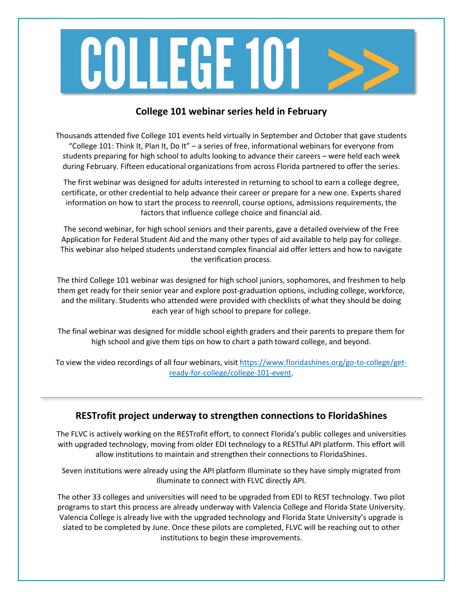

# **College 101 webinar series held in February**

Thousands attended five College 101 events held virtually in September and October that gave students "College 101: Think It, Plan It, Do It" – a series of free, informational webinars for everyone from students preparing for high school to adults looking to advance their careers – were held each week during February. Fifteen educational organizations from across Florida partnered to offer the series.

The first webinar was designed for adults interested in returning to school to earn a college degree, certificate, or other credential to help advance their career or prepare for a new one. Experts shared information on how to start the process to reenroll, course options, admissions requirements, the factors that influence college choice and financial aid.

The second webinar, for high school seniors and their parents, gave a detailed overview of the Free Application for Federal Student Aid and the many other types of aid available to help pay for college. This webinar also helped students understand complex financial aid offer letters and how to navigate the verification process.

The third College 101 webinar was designed for high school juniors, sophomores, and freshmen to help them get ready for their senior year and explore post-graduation options, including college, workforce, and the military. Students who attended were provided with checklists of what they should be doing each year of high school to prepare for college.

The final webinar was designed for middle school eighth graders and their parents to prepare them for high school and give them tips on how to chart a path toward college, and beyond.

To view the video recordings of all four webinars, visit [https://www.floridashines.org/go-to-college/get](https://www.floridashines.org/go-to-college/get-ready-for-college/college-101-event)[ready-for-college/college-101-event.](https://www.floridashines.org/go-to-college/get-ready-for-college/college-101-event)

#### **RESTrofit project underway to strengthen connections to FloridaShines**

The FLVC is actively working on the RESTrofit effort, to connect Florida's public colleges and universities with upgraded technology, moving from older EDI technology to a RESTful API platform. This effort will allow institutions to maintain and strengthen their connections to FloridaShines.

Seven institutions were already using the API platform Illuminate so they have simply migrated from Illuminate to connect with FLVC directly API.

The other 33 colleges and universities will need to be upgraded from EDI to REST technology. Two pilot programs to start this process are already underway with Valencia College and Florida State University. Valencia College is already live with the upgraded technology and Florida State University's upgrade is slated to be completed by June. Once these pilots are completed, FLVC will be reaching out to other institutions to begin these improvements.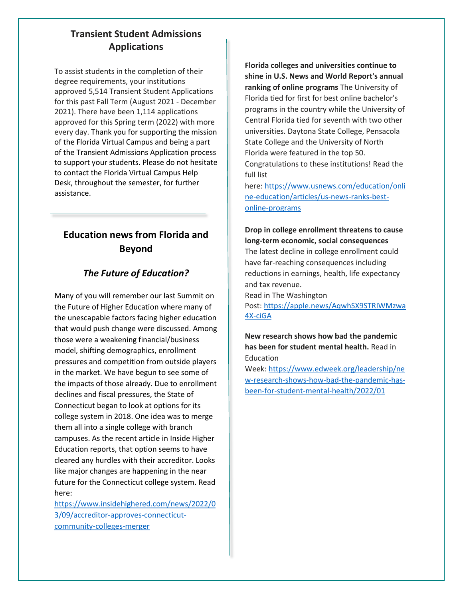# **Transient Student Admissions Applications**

To assist students in the completion of their degree requirements, your institutions approved 5,514 Transient Student Applications for this past Fall Term (August 2021 - December 2021). There have been 1,114 applications approved for this Spring term (2022) with more every day. Thank you for supporting the mission of the Florida Virtual Campus and being a part of the Transient Admissions Application process to support your students. Please do not hesitate to contact the Florida Virtual Campus Help Desk, throughout the semester, for further assistance.

# **Education news from Florida and Beyond**

## *The Future of Education?*

Many of you will remember our last Summit on the Future of Higher Education where many of the unescapable factors facing higher education that would push change were discussed. Among those were a weakening financial/business model, shifting demographics, enrollment pressures and competition from outside players in the market. We have begun to see some of the impacts of those already. Due to enrollment declines and fiscal pressures, the State of Connecticut began to look at options for its college system in 2018. One idea was to merge them all into a single college with branch campuses. As the recent article in Inside Higher Education reports, that option seems to have cleared any hurdles with their accreditor. Looks like major changes are happening in the near future for the Connecticut college system. Read here:

[https://www.insidehighered.com/news/2022/0](https://www.insidehighered.com/news/2022/03/09/accreditor-approves-connecticut-community-colleges-merger) [3/09/accreditor-approves-connecticut](https://www.insidehighered.com/news/2022/03/09/accreditor-approves-connecticut-community-colleges-merger)[community-colleges-merger](https://www.insidehighered.com/news/2022/03/09/accreditor-approves-connecticut-community-colleges-merger)

**Florida colleges and universities continue to shine in U.S. News and World Report's annual ranking of online programs** The University of Florida tied for first for best online bachelor's programs in the country while the University of Central Florida tied for seventh with two other universities. Daytona State College, Pensacola State College and the University of North Florida were featured in the top 50.

Congratulations to these institutions! Read the full list

here: [https://www.usnews.com/education/onli](https://www.usnews.com/education/online-education/articles/us-news-ranks-best-online-programs) [ne-education/articles/us-news-ranks-best](https://www.usnews.com/education/online-education/articles/us-news-ranks-best-online-programs)[online-programs](https://www.usnews.com/education/online-education/articles/us-news-ranks-best-online-programs)

#### **Drop in college enrollment threatens to cause long-term economic, social consequences**

The latest decline in college enrollment could have far-reaching consequences including reductions in earnings, health, life expectancy and tax revenue.

Read in The Washington

Post: [https://apple.news/AqwhSX9STRIWMzwa](https://apple.news/AqwhSX9STRIWMzwa4X-ciGA) [4X-ciGA](https://apple.news/AqwhSX9STRIWMzwa4X-ciGA)

#### **New research shows how bad the pandemic has been for student mental health.** Read in Education

Week: [https://www.edweek.org/leadership/ne](https://www.edweek.org/leadership/new-research-shows-how-bad-the-pandemic-has-been-for-student-mental-health/2022/01) [w-research-shows-how-bad-the-pandemic-has](https://www.edweek.org/leadership/new-research-shows-how-bad-the-pandemic-has-been-for-student-mental-health/2022/01)[been-for-student-mental-health/2022/01](https://www.edweek.org/leadership/new-research-shows-how-bad-the-pandemic-has-been-for-student-mental-health/2022/01)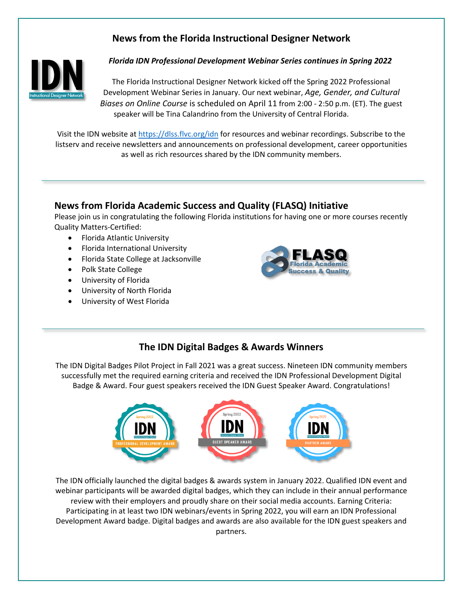# **News from the Florida Instructional Designer Network**



*Florida IDN Professional Development Webinar Series continues in Spring 2022*

The Florida Instructional Designer Network kicked off the Spring 2022 Professional Development Webinar Series in January. Our next webinar, *Age, Gender, and Cultural Biases on Online Course* is scheduled on April 11 from 2:00 - 2:50 p.m. (ET). The guest speaker will be Tina Calandrino from the University of Central Florida.

Visit the IDN website at<https://dlss.flvc.org/idn> for resources and webinar recordings. Subscribe to the listserv and receive newsletters and announcements on professional development, career opportunities as well as rich resources shared by the IDN community members.

#### **News from Florida Academic Success and Quality (FLASQ) Initiative**

Please join us in congratulating the following Florida institutions for having one or more courses recently Quality Matters-Certified:

- Florida Atlantic University
- Florida International University
- Florida State College at Jacksonville
- Polk State College
- University of Florida
- University of North Florida
- University of West Florida



#### **The IDN Digital Badges & Awards Winners**

The IDN Digital Badges Pilot Project in Fall 2021 was a great success. Nineteen IDN community members successfully met the required earning criteria and received the IDN Professional Development Digital Badge & Award. Four guest speakers received the IDN Guest Speaker Award. Congratulations!



The IDN officially launched the digital badges & awards system in January 2022. Qualified IDN event and webinar participants will be awarded digital badges, which they can include in their annual performance review with their employers and proudly share on their social media accounts. Earning Criteria: Participating in at least two IDN webinars/events in Spring 2022, you will earn an IDN Professional Development Award badge. Digital badges and awards are also available for the IDN guest speakers and partners.